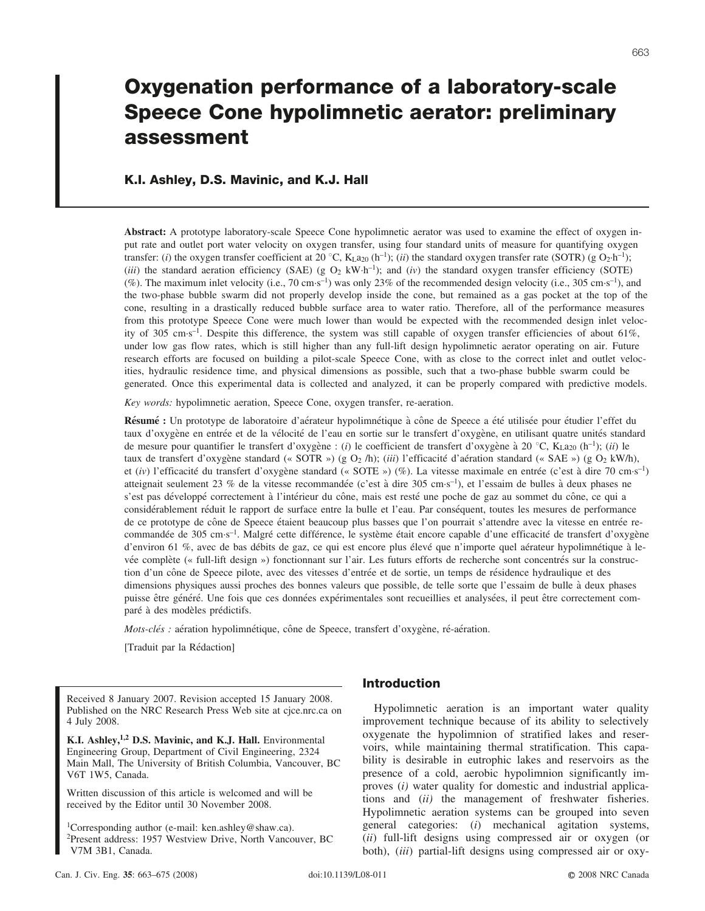# **Oxygenation performance of a laboratory-scale Speece Cone hypolimnetic aerator: preliminary assessment**

## **K.I. Ashley, D.S. Mavinic, and K.J. Hall**

**Abstract:** A prototype laboratory-scale Speece Cone hypolimnetic aerator was used to examine the effect of oxygen input rate and outlet port water velocity on oxygen transfer, using four standard units of measure for quantifying oxygen transfer: (*i*) the oxygen transfer coefficient at 20 °C,  $K_{L,020}$  (h<sup>-1</sup>); (*ii*) the standard oxygen transfer rate (SOTR) (g O<sub>2</sub>·h<sup>-1</sup>); (*iii*) the standard aeration efficiency (SAE) (g  $O_2$  kW $-h^{-1}$ ); and (*iv*) the standard oxygen transfer efficiency (SOTE) (%). The maximum inlet velocity (i.e., 70 cm s<sup>-1</sup>) was only 23% of the recommended design velocity (i.e., 305 cm s<sup>-1</sup>), and the two-phase bubble swarm did not properly develop inside the cone, but remained as a gas pocket at the top of the cone, resulting in a drastically reduced bubble surface area to water ratio. Therefore, all of the performance measures from this prototype Speece Cone were much lower than would be expected with the recommended design inlet velocity of 305 cm·s<sup>-1</sup>. Despite this difference, the system was still capable of oxygen transfer efficiencies of about 61%, under low gas flow rates, which is still higher than any full-lift design hypolimnetic aerator operating on air. Future research efforts are focused on building a pilot-scale Speece Cone, with as close to the correct inlet and outlet velocities, hydraulic residence time, and physical dimensions as possible, such that a two-phase bubble swarm could be generated. Once this experimental data is collected and analyzed, it can be properly compared with predictive models.

*Key words:* hypolimnetic aeration, Speece Cone, oxygen transfer, re-aeration.

Résumé : Un prototype de laboratoire d'aérateur hypolimnétique à cône de Speece a été utilisée pour étudier l'effet du taux d'oxygène en entrée et de la vélocité de l'eau en sortie sur le transfert d'oxygène, en utilisant quatre unités standard de mesure pour quantifier le transfert d'oxygène : (*i*) le coefficient de transfert d'oxygène à 20 °C, K<sub>L</sub>a<sub>20</sub> (h<sup>-1</sup>); (*ii*) le taux de transfert d'oxygène standard (« SOTR ») (g O<sub>2</sub> /h); *(iii*) l'efficacité d'aération standard (« SAE ») (g O<sub>2</sub> kW/h), et (*iv*) l'efficacité du transfert d'oxygène standard (« SOTE ») (%). La vitesse maximale en entrée (c'est à dire 70 cm·s<sup>-1</sup>) atteignait seulement 23 % de la vitesse recommandée (c'est à dire 305 cm·s<sup>-1</sup>), et l'essaim de bulles à deux phases ne s'est pas développé correctement à l'intérieur du cône, mais est resté une poche de gaz au sommet du cône, ce qui a considérablement réduit le rapport de surface entre la bulle et l'eau. Par conséquent, toutes les mesures de performance de ce prototype de cône de Speece étaient beaucoup plus basses que l'on pourrait s'attendre avec la vitesse en entrée recommandée de 305 cm·s<sup>-1</sup>. Malgré cette différence, le système était encore capable d'une efficacité de transfert d'oxygène d'environ 61 %, avec de bas débits de gaz, ce qui est encore plus élevé que n'importe quel aérateur hypolimnétique à levée complète (« full-lift design ») fonctionnant sur l'air. Les futurs efforts de recherche sont concentrés sur la construction d'un cône de Speece pilote, avec des vitesses d'entrée et de sortie, un temps de résidence hydraulique et des dimensions physiques aussi proches des bonnes valeurs que possible, de telle sorte que l'essaim de bulle à deux phases puisse être généré. Une fois que ces données expérimentales sont recueillies et analysées, il peut être correctement comparé à des modèles prédictifs.

*Mots-clés : aération hypolimnétique, cône de Speece, transfert d'oxygène, ré-aération.* 

[Traduit par la Rédaction]

Received 8 January 2007. Revision accepted 15 January 2008. Published on the NRC Research Press Web site at cjce.nrc.ca on 4 July 2008.

**K.I. Ashley,1,2 D.S. Mavinic, and K.J. Hall.** Environmental Engineering Group, Department of Civil Engineering, 2324 Main Mall, The University of British Columbia, Vancouver, BC V6T 1W5, Canada.

Written discussion of this article is welcomed and will be received by the Editor until 30 November 2008.

<sup>1</sup>Corresponding author (e-mail: ken.ashley@shaw.ca). 2Present address: 1957 Westview Drive, North Vancouver, BC V7M 3B1, Canada.

# **Introduction**

Hypolimnetic aeration is an important water quality improvement technique because of its ability to selectively oxygenate the hypolimnion of stratified lakes and reservoirs, while maintaining thermal stratification. This capability is desirable in eutrophic lakes and reservoirs as the presence of a cold, aerobic hypolimnion significantly improves (*i)* water quality for domestic and industrial applications and (*ii)* the management of freshwater fisheries. Hypolimnetic aeration systems can be grouped into seven general categories: (*i*) mechanical agitation systems, (*ii*) full-lift designs using compressed air or oxygen (or both), (*iii*) partial-lift designs using compressed air or oxy-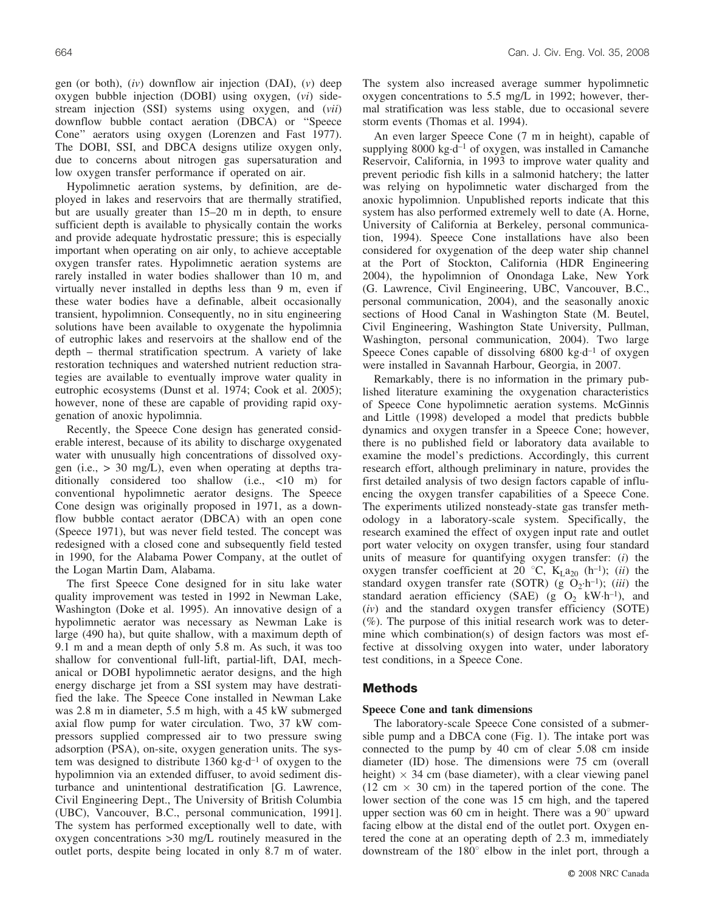gen (or both), (*iv*) downflow air injection (DAI), (*v*) deep oxygen bubble injection (DOBI) using oxygen, (*vi*) sidestream injection (SSI) systems using oxygen, and (*vii*) downflow bubble contact aeration (DBCA) or ''Speece Cone'' aerators using oxygen (Lorenzen and Fast 1977). The DOBI, SSI, and DBCA designs utilize oxygen only, due to concerns about nitrogen gas supersaturation and low oxygen transfer performance if operated on air.

Hypolimnetic aeration systems, by definition, are deployed in lakes and reservoirs that are thermally stratified, but are usually greater than 15–20 m in depth, to ensure sufficient depth is available to physically contain the works and provide adequate hydrostatic pressure; this is especially important when operating on air only, to achieve acceptable oxygen transfer rates. Hypolimnetic aeration systems are rarely installed in water bodies shallower than 10 m, and virtually never installed in depths less than 9 m, even if these water bodies have a definable, albeit occasionally transient, hypolimnion. Consequently, no in situ engineering solutions have been available to oxygenate the hypolimnia of eutrophic lakes and reservoirs at the shallow end of the depth – thermal stratification spectrum. A variety of lake restoration techniques and watershed nutrient reduction strategies are available to eventually improve water quality in eutrophic ecosystems (Dunst et al. 1974; Cook et al. 2005); however, none of these are capable of providing rapid oxygenation of anoxic hypolimnia.

Recently, the Speece Cone design has generated considerable interest, because of its ability to discharge oxygenated water with unusually high concentrations of dissolved oxygen (i.e., > 30 mg/L), even when operating at depths traditionally considered too shallow (i.e., <10 m) for conventional hypolimnetic aerator designs. The Speece Cone design was originally proposed in 1971, as a downflow bubble contact aerator (DBCA) with an open cone (Speece 1971), but was never field tested. The concept was redesigned with a closed cone and subsequently field tested in 1990, for the Alabama Power Company, at the outlet of the Logan Martin Dam, Alabama.

The first Speece Cone designed for in situ lake water quality improvement was tested in 1992 in Newman Lake, Washington (Doke et al. 1995). An innovative design of a hypolimnetic aerator was necessary as Newman Lake is large (490 ha), but quite shallow, with a maximum depth of 9.1 m and a mean depth of only 5.8 m. As such, it was too shallow for conventional full-lift, partial-lift, DAI, mechanical or DOBI hypolimnetic aerator designs, and the high energy discharge jet from a SSI system may have destratified the lake. The Speece Cone installed in Newman Lake was 2.8 m in diameter, 5.5 m high, with a 45 kW submerged axial flow pump for water circulation. Two, 37 kW compressors supplied compressed air to two pressure swing adsorption (PSA), on-site, oxygen generation units. The system was designed to distribute 1360 kg $-d^{-1}$  of oxygen to the hypolimnion via an extended diffuser, to avoid sediment disturbance and unintentional destratification [G. Lawrence, Civil Engineering Dept., The University of British Columbia (UBC), Vancouver, B.C., personal communication, 1991]. The system has performed exceptionally well to date, with oxygen concentrations >30 mg/L routinely measured in the outlet ports, despite being located in only 8.7 m of water.

The system also increased average summer hypolimnetic oxygen concentrations to 5.5 mg/L in 1992; however, thermal stratification was less stable, due to occasional severe storm events (Thomas et al. 1994).

An even larger Speece Cone (7 m in height), capable of supplying 8000 kg $-d^{-1}$  of oxygen, was installed in Camanche Reservoir, California, in 1993 to improve water quality and prevent periodic fish kills in a salmonid hatchery; the latter was relying on hypolimnetic water discharged from the anoxic hypolimnion. Unpublished reports indicate that this system has also performed extremely well to date (A. Horne, University of California at Berkeley, personal communication, 1994). Speece Cone installations have also been considered for oxygenation of the deep water ship channel at the Port of Stockton, California (HDR Engineering 2004), the hypolimnion of Onondaga Lake, New York (G. Lawrence, Civil Engineering, UBC, Vancouver, B.C., personal communication, 2004), and the seasonally anoxic sections of Hood Canal in Washington State (M. Beutel, Civil Engineering, Washington State University, Pullman, Washington, personal communication, 2004). Two large Speece Cones capable of dissolving  $6800 \text{ kg} \cdot d^{-1}$  of oxygen were installed in Savannah Harbour, Georgia, in 2007.

Remarkably, there is no information in the primary published literature examining the oxygenation characteristics of Speece Cone hypolimnetic aeration systems. McGinnis and Little (1998) developed a model that predicts bubble dynamics and oxygen transfer in a Speece Cone; however, there is no published field or laboratory data available to examine the model's predictions. Accordingly, this current research effort, although preliminary in nature, provides the first detailed analysis of two design factors capable of influencing the oxygen transfer capabilities of a Speece Cone. The experiments utilized nonsteady-state gas transfer methodology in a laboratory-scale system. Specifically, the research examined the effect of oxygen input rate and outlet port water velocity on oxygen transfer, using four standard units of measure for quantifying oxygen transfer: (*i*) the oxygen transfer coefficient at 20 °C,  $K_L a_{20}$  (h<sup>-1</sup>); (*ii*) the standard oxygen transfer rate (SOTR) (g  $O_2 \cdot h^{-1}$ ); (*iii*) the standard aeration efficiency (SAE) (g  $O_2$  kW·h<sup>-1</sup>), and (*iv*) and the standard oxygen transfer efficiency (SOTE)  $(\%)$ . The purpose of this initial research work was to determine which combination(s) of design factors was most effective at dissolving oxygen into water, under laboratory test conditions, in a Speece Cone.

## **Methods**

#### **Speece Cone and tank dimensions**

The laboratory-scale Speece Cone consisted of a submersible pump and a DBCA cone (Fig. 1). The intake port was connected to the pump by 40 cm of clear 5.08 cm inside diameter (ID) hose. The dimensions were 75 cm (overall height)  $\times$  34 cm (base diameter), with a clear viewing panel  $(12 \text{ cm} \times 30 \text{ cm})$  in the tapered portion of the cone. The lower section of the cone was 15 cm high, and the tapered upper section was 60 cm in height. There was a  $90^{\circ}$  upward facing elbow at the distal end of the outlet port. Oxygen entered the cone at an operating depth of 2.3 m, immediately downstream of the  $180^\circ$  elbow in the inlet port, through a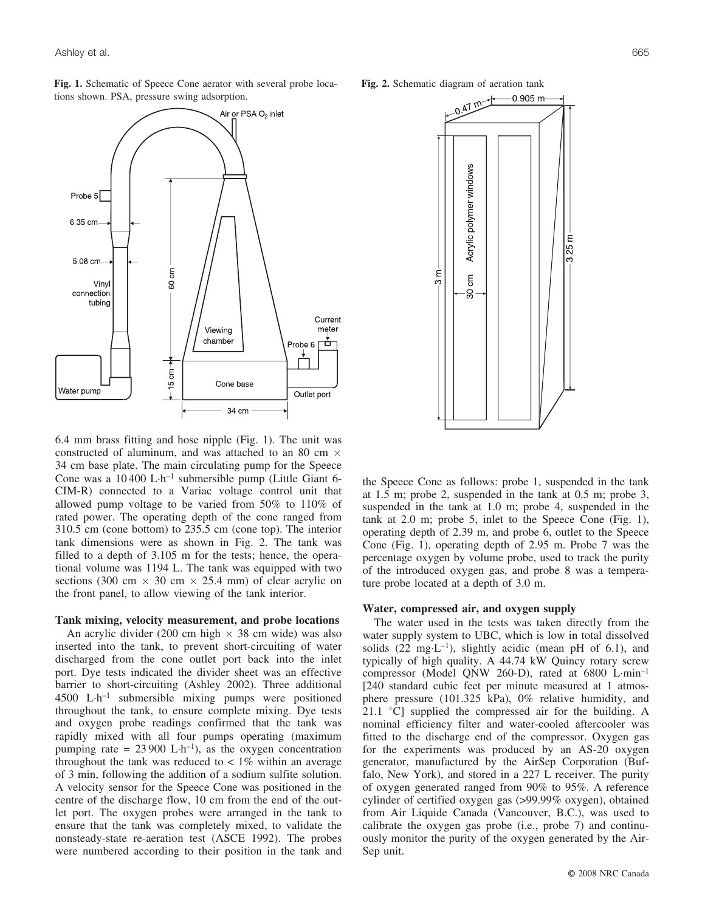Probe 5

**Fig. 1.** Schematic of Speece Cone aerator with several probe locations shown. PSA, pressure swing adsorption.

Air or PSA O<sub>2</sub> inlet



constructed of aluminum, and was attached to an 80 cm  $\times$ 34 cm base plate. The main circulating pump for the Speece Cone was a  $10\,400 \text{ L} \cdot \text{h}^{-1}$  submersible pump (Little Giant 6-CIM-R) connected to a Variac voltage control unit that allowed pump voltage to be varied from 50% to 110% of rated power. The operating depth of the cone ranged from 310.5 cm (cone bottom) to 235.5 cm (cone top). The interior tank dimensions were as shown in Fig. 2. The tank was filled to a depth of 3.105 m for the tests; hence, the operational volume was 1194 L. The tank was equipped with two sections (300 cm  $\times$  30 cm  $\times$  25.4 mm) of clear acrylic on the front panel, to allow viewing of the tank interior.

#### **Tank mixing, velocity measurement, and probe locations**

An acrylic divider (200 cm high  $\times$  38 cm wide) was also inserted into the tank, to prevent short-circuiting of water discharged from the cone outlet port back into the inlet port. Dye tests indicated the divider sheet was an effective barrier to short-circuiting (Ashley 2002). Three additional 4500 Lh–1 submersible mixing pumps were positioned throughout the tank, to ensure complete mixing. Dye tests and oxygen probe readings confirmed that the tank was rapidly mixed with all four pumps operating (maximum pumping rate =  $23\,900 \, \text{L} \cdot \text{h}^{-1}$ , as the oxygen concentration throughout the tank was reduced to  $\lt 1\%$  within an average of 3 min, following the addition of a sodium sulfite solution. A velocity sensor for the Speece Cone was positioned in the centre of the discharge flow, 10 cm from the end of the outlet port. The oxygen probes were arranged in the tank to ensure that the tank was completely mixed, to validate the nonsteady-state re-aeration test (ASCE 1992). The probes were numbered according to their position in the tank and





the Speece Cone as follows: probe 1, suspended in the tank at 1.5 m; probe 2, suspended in the tank at 0.5 m; probe 3, suspended in the tank at 1.0 m; probe 4, suspended in the tank at 2.0 m; probe 5, inlet to the Speece Cone (Fig. 1), operating depth of 2.39 m, and probe 6, outlet to the Speece Cone (Fig. 1), operating depth of 2.95 m. Probe 7 was the percentage oxygen by volume probe, used to track the purity of the introduced oxygen gas, and probe 8 was a temperature probe located at a depth of 3.0 m.

#### **Water, compressed air, and oxygen supply**

The water used in the tests was taken directly from the water supply system to UBC, which is low in total dissolved solids  $(22 \text{ mg-L}^{-1})$ , slightly acidic (mean pH of 6.1), and typically of high quality. A 44.74 kW Quincy rotary screw compressor (Model QNW 260-D), rated at  $6800$  L $\cdot$ min<sup>-1</sup> [240 standard cubic feet per minute measured at 1 atmosphere pressure (101.325 kPa), 0% relative humidity, and 21.1  $\degree$ C] supplied the compressed air for the building. A nominal efficiency filter and water-cooled aftercooler was fitted to the discharge end of the compressor. Oxygen gas for the experiments was produced by an AS-20 oxygen generator, manufactured by the AirSep Corporation (Buffalo, New York), and stored in a 227 L receiver. The purity of oxygen generated ranged from 90% to 95%. A reference cylinder of certified oxygen gas (>99.99% oxygen), obtained from Air Liquide Canada (Vancouver, B.C.), was used to calibrate the oxygen gas probe (i.e., probe 7) and continuously monitor the purity of the oxygen generated by the Air-Sep unit.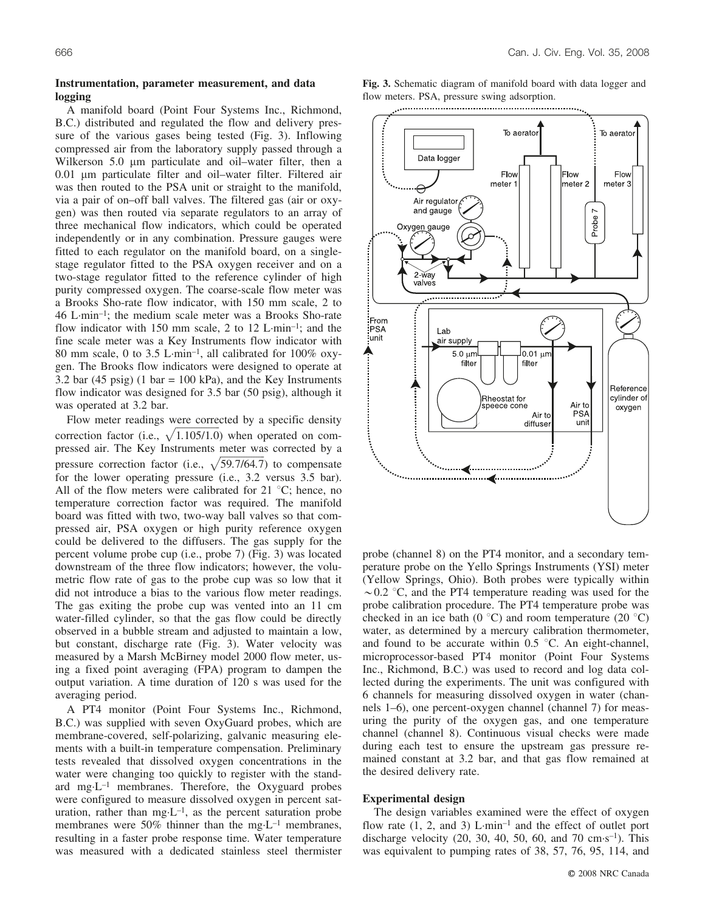## **Instrumentation, parameter measurement, and data logging**

A manifold board (Point Four Systems Inc., Richmond, B.C.) distributed and regulated the flow and delivery pressure of the various gases being tested (Fig. 3). Inflowing compressed air from the laboratory supply passed through a Wilkerson  $5.0 \mu m$  particulate and oil–water filter, then a 0.01 mm particulate filter and oil–water filter. Filtered air was then routed to the PSA unit or straight to the manifold, via a pair of on–off ball valves. The filtered gas (air or oxygen) was then routed via separate regulators to an array of three mechanical flow indicators, which could be operated independently or in any combination. Pressure gauges were fitted to each regulator on the manifold board, on a singlestage regulator fitted to the PSA oxygen receiver and on a two-stage regulator fitted to the reference cylinder of high purity compressed oxygen. The coarse-scale flow meter was a Brooks Sho-rate flow indicator, with 150 mm scale, 2 to  $46$  L·min<sup>-1</sup>; the medium scale meter was a Brooks Sho-rate flow indicator with 150 mm scale, 2 to 12 L $\cdot$ min<sup>-1</sup>; and the fine scale meter was a Key Instruments flow indicator with 80 mm scale, 0 to 3.5 L $\cdot$ min<sup>-1</sup>, all calibrated for 100% oxygen. The Brooks flow indicators were designed to operate at 3.2 bar (45 psig) (1 bar = 100 kPa), and the Key Instruments flow indicator was designed for 3.5 bar (50 psig), although it was operated at 3.2 bar.

Flow meter readings were corrected by a specific density correction factor (i.e.,  $\sqrt{1.105/1.0}$ ) when operated on compressed air. The Key Instruments meter was corrected by a pressure correction factor (i.e.,  $\sqrt{59.7/64.7}$ ) to compensate for the lower operating pressure (i.e., 3.2 versus 3.5 bar). All of the flow meters were calibrated for 21  $\degree$ C; hence, no temperature correction factor was required. The manifold board was fitted with two, two-way ball valves so that compressed air, PSA oxygen or high purity reference oxygen could be delivered to the diffusers. The gas supply for the percent volume probe cup (i.e., probe 7) (Fig. 3) was located downstream of the three flow indicators; however, the volumetric flow rate of gas to the probe cup was so low that it did not introduce a bias to the various flow meter readings. The gas exiting the probe cup was vented into an 11 cm water-filled cylinder, so that the gas flow could be directly observed in a bubble stream and adjusted to maintain a low, but constant, discharge rate (Fig. 3). Water velocity was measured by a Marsh McBirney model 2000 flow meter, using a fixed point averaging (FPA) program to dampen the output variation. A time duration of 120 s was used for the averaging period.

A PT4 monitor (Point Four Systems Inc., Richmond, B.C.) was supplied with seven OxyGuard probes, which are membrane-covered, self-polarizing, galvanic measuring elements with a built-in temperature compensation. Preliminary tests revealed that dissolved oxygen concentrations in the water were changing too quickly to register with the standard  $mg \cdot L^{-1}$  membranes. Therefore, the Oxyguard probes were configured to measure dissolved oxygen in percent saturation, rather than  $mg \cdot L^{-1}$ , as the percent saturation probe membranes were 50% thinner than the mg $L^{-1}$  membranes, resulting in a faster probe response time. Water temperature was measured with a dedicated stainless steel thermister **Fig. 3.** Schematic diagram of manifold board with data logger and flow meters. PSA, pressure swing adsorption.



probe (channel 8) on the PT4 monitor, and a secondary temperature probe on the Yello Springs Instruments (YSI) meter (Yellow Springs, Ohio). Both probes were typically within  $\sim$  0.2 °C, and the PT4 temperature reading was used for the probe calibration procedure. The PT4 temperature probe was checked in an ice bath (0  $^{\circ}$ C) and room temperature (20  $^{\circ}$ C) water, as determined by a mercury calibration thermometer, and found to be accurate within  $0.5\text{ °C}$ . An eight-channel, microprocessor-based PT4 monitor (Point Four Systems Inc., Richmond, B.C.) was used to record and log data collected during the experiments. The unit was configured with 6 channels for measuring dissolved oxygen in water (channels 1–6), one percent-oxygen channel (channel 7) for measuring the purity of the oxygen gas, and one temperature channel (channel 8). Continuous visual checks were made during each test to ensure the upstream gas pressure remained constant at 3.2 bar, and that gas flow remained at the desired delivery rate.

### **Experimental design**

The design variables examined were the effect of oxygen flow rate  $(1, 2, and 3)$  L·min<sup>-1</sup> and the effect of outlet port discharge velocity (20, 30, 40, 50, 60, and 70  $\text{cm}\cdot\text{s}^{-1}$ ). This was equivalent to pumping rates of 38, 57, 76, 95, 114, and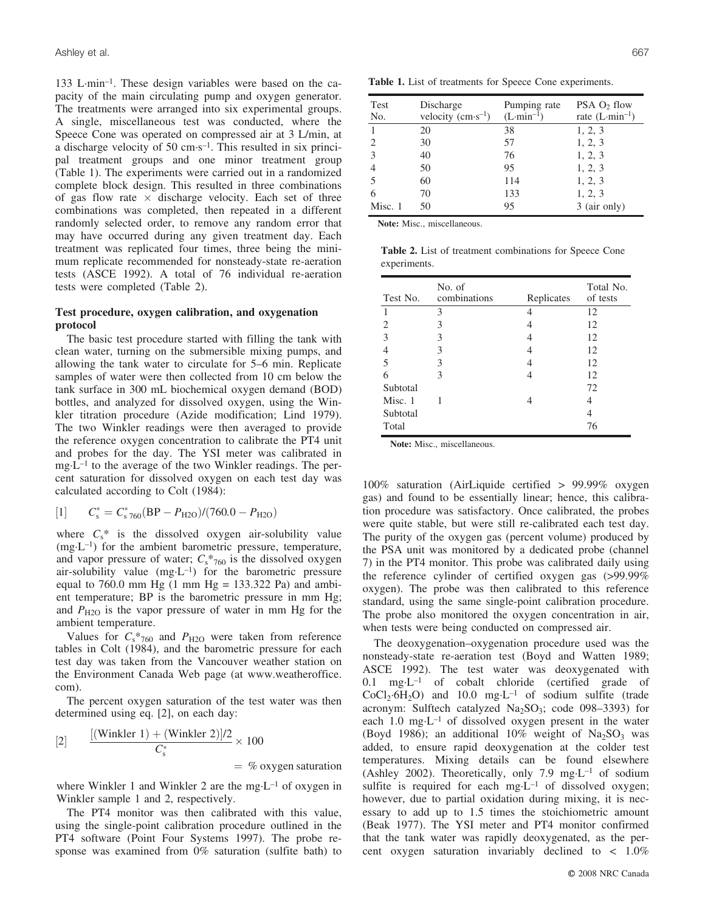$133$  L $\cdot$ min<sup>-1</sup>. These design variables were based on the capacity of the main circulating pump and oxygen generator. The treatments were arranged into six experimental groups. A single, miscellaneous test was conducted, where the Speece Cone was operated on compressed air at 3 L/min, at a discharge velocity of 50  $\text{cm}\cdot\text{s}^{-1}$ . This resulted in six principal treatment groups and one minor treatment group (Table 1). The experiments were carried out in a randomized complete block design. This resulted in three combinations of gas flow rate  $\times$  discharge velocity. Each set of three combinations was completed, then repeated in a different randomly selected order, to remove any random error that may have occurred during any given treatment day. Each treatment was replicated four times, three being the minimum replicate recommended for nonsteady-state re-aeration tests (ASCE 1992). A total of 76 individual re-aeration tests were completed (Table 2).

## **Test procedure, oxygen calibration, and oxygenation protocol**

The basic test procedure started with filling the tank with clean water, turning on the submersible mixing pumps, and allowing the tank water to circulate for 5–6 min. Replicate samples of water were then collected from 10 cm below the tank surface in 300 mL biochemical oxygen demand (BOD) bottles, and analyzed for dissolved oxygen, using the Winkler titration procedure (Azide modification; Lind 1979). The two Winkler readings were then averaged to provide the reference oxygen concentration to calibrate the PT4 unit and probes for the day. The YSI meter was calibrated in  $mg \cdot L^{-1}$  to the average of the two Winkler readings. The percent saturation for dissolved oxygen on each test day was calculated according to Colt (1984):

[1] 
$$
C_s^* = C_{s\ 760}^*(BP - P_{H2O})/(760.0 - P_{H2O})
$$

where  $C_s^*$  is the dissolved oxygen air-solubility value  $(mg \cdot L^{-1})$  for the ambient barometric pressure, temperature, and vapor pressure of water;  $C_s^*$ <sub>760</sub> is the dissolved oxygen air-solubility value  $(mg \cdot L^{-1})$  for the barometric pressure equal to 760.0 mm Hg  $(1 \text{ mm Hg} = 133.322 \text{ Pa})$  and ambient temperature; BP is the barometric pressure in mm Hg; and  $P_{\text{H2O}}$  is the vapor pressure of water in mm Hg for the ambient temperature.

Values for  $C_{s}^{*}$ <sub>760</sub> and  $P_{H2O}$  were taken from reference tables in Colt (1984), and the barometric pressure for each test day was taken from the Vancouver weather station on the Environment Canada Web page (at www.weatheroffice. com).

The percent oxygen saturation of the test water was then determined using eq. [2], on each day:

[2] 
$$
\frac{[(\text{Winkler 1}) + (\text{Winkler 2})]/2}{C_s^*} \times 100
$$
  
= % oxygen saturation

where Winkler 1 and Winkler 2 are the mg $L^{-1}$  of oxygen in Winkler sample 1 and 2, respectively.

The PT4 monitor was then calibrated with this value, using the single-point calibration procedure outlined in the PT4 software (Point Four Systems 1997). The probe response was examined from 0% saturation (sulfite bath) to

**Table 1.** List of treatments for Speece Cone experiments.

| Test<br>No. | Discharge<br>velocity $(cm·s^{-1})$ | Pumping rate<br>$(L \cdot \text{min}^{-1})$ | PSA O <sub>2</sub> flow<br>rate $(L \cdot min^{-1})$ |
|-------------|-------------------------------------|---------------------------------------------|------------------------------------------------------|
|             | 20                                  | 38                                          | 1, 2, 3                                              |
| 2           | 30                                  | 57                                          | 1, 2, 3                                              |
| 3           | 40                                  | 76                                          | 1, 2, 3                                              |
|             | 50                                  | 95                                          | 1, 2, 3                                              |
|             | 60                                  | 114                                         | 1, 2, 3                                              |
| 6           | 70                                  | 133                                         | 1, 2, 3                                              |
| Misc. 1     | 50                                  | 95                                          | 3 (air only)                                         |

**Note:** Misc., miscellaneous.

**Table 2.** List of treatment combinations for Speece Cone experiments.

| Test No. | No. of<br>combinations | Replicates | Total No.<br>of tests |
|----------|------------------------|------------|-----------------------|
|          | 3                      |            | 12                    |
| 2        | 3                      |            | 12                    |
| 3        | 3                      |            | 12                    |
| 4        | 3                      |            | 12                    |
| 5        | 3                      |            | 12                    |
| 6        | 3                      |            | 12                    |
| Subtotal |                        |            | 72                    |
| Misc. 1  | 1                      |            | 4                     |
| Subtotal |                        |            | 4                     |
| Total    |                        |            | 76                    |

**Note:** Misc., miscellaneous.

100% saturation (AirLiquide certified > 99.99% oxygen gas) and found to be essentially linear; hence, this calibration procedure was satisfactory. Once calibrated, the probes were quite stable, but were still re-calibrated each test day. The purity of the oxygen gas (percent volume) produced by the PSA unit was monitored by a dedicated probe (channel 7) in the PT4 monitor. This probe was calibrated daily using the reference cylinder of certified oxygen gas (>99.99% oxygen). The probe was then calibrated to this reference standard, using the same single-point calibration procedure. The probe also monitored the oxygen concentration in air, when tests were being conducted on compressed air.

The deoxygenation–oxygenation procedure used was the nonsteady-state re-aeration test (Boyd and Watten 1989; ASCE 1992). The test water was deoxygenated with  $0.1$  mg $\cdot$ L<sup>-1</sup> of cobalt chloride (certified grade of  $CoCl<sub>2</sub>·6H<sub>2</sub>O$ ) and 10.0 mg·L<sup>-1</sup> of sodium sulfite (trade acronym: Sulftech catalyzed  $Na<sub>2</sub>SO<sub>3</sub>$ ; code 098-3393) for each 1.0 mg $L^{-1}$  of dissolved oxygen present in the water (Boyd 1986); an additional 10% weight of  $Na<sub>2</sub>SO<sub>3</sub>$  was added, to ensure rapid deoxygenation at the colder test temperatures. Mixing details can be found elsewhere (Ashley 2002). Theoretically, only 7.9 mg $L^{-1}$  of sodium sulfite is required for each  $mg L^{-1}$  of dissolved oxygen; however, due to partial oxidation during mixing, it is necessary to add up to 1.5 times the stoichiometric amount (Beak 1977). The YSI meter and PT4 monitor confirmed that the tank water was rapidly deoxygenated, as the percent oxygen saturation invariably declined to  $\lt$  1.0%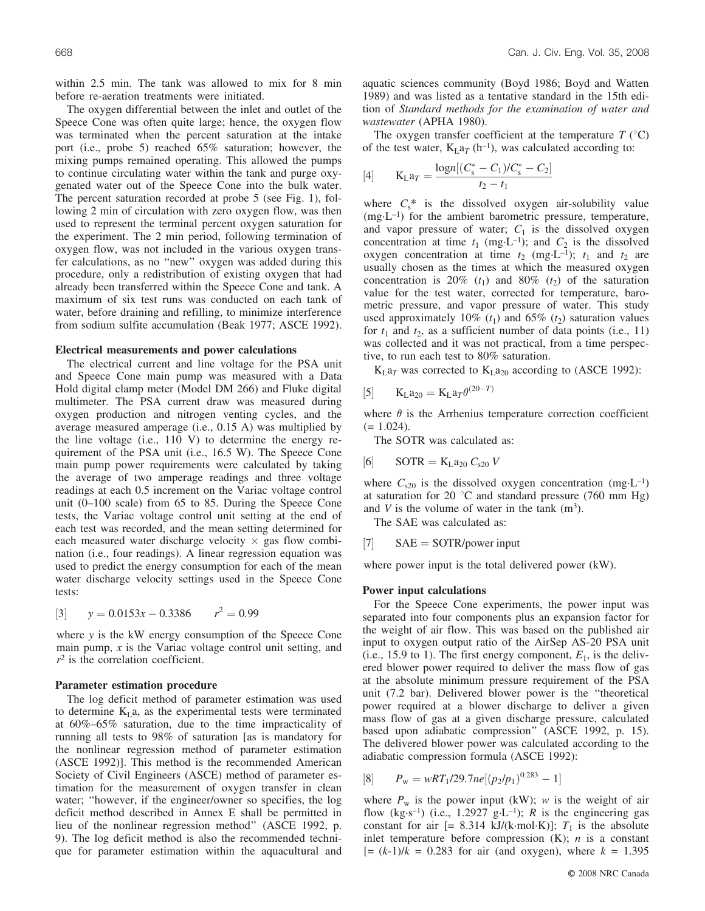within 2.5 min. The tank was allowed to mix for 8 min before re-aeration treatments were initiated.

The oxygen differential between the inlet and outlet of the Speece Cone was often quite large; hence, the oxygen flow was terminated when the percent saturation at the intake port (i.e., probe 5) reached 65% saturation; however, the mixing pumps remained operating. This allowed the pumps to continue circulating water within the tank and purge oxygenated water out of the Speece Cone into the bulk water. The percent saturation recorded at probe 5 (see Fig. 1), following 2 min of circulation with zero oxygen flow, was then used to represent the terminal percent oxygen saturation for the experiment. The 2 min period, following termination of oxygen flow, was not included in the various oxygen transfer calculations, as no ''new'' oxygen was added during this procedure, only a redistribution of existing oxygen that had already been transferred within the Speece Cone and tank. A maximum of six test runs was conducted on each tank of water, before draining and refilling, to minimize interference from sodium sulfite accumulation (Beak 1977; ASCE 1992).

#### **Electrical measurements and power calculations**

The electrical current and line voltage for the PSA unit and Speece Cone main pump was measured with a Data Hold digital clamp meter (Model DM 266) and Fluke digital multimeter. The PSA current draw was measured during oxygen production and nitrogen venting cycles, and the average measured amperage (i.e., 0.15 A) was multiplied by the line voltage (i.e., 110 V) to determine the energy requirement of the PSA unit (i.e., 16.5 W). The Speece Cone main pump power requirements were calculated by taking the average of two amperage readings and three voltage readings at each 0.5 increment on the Variac voltage control unit (0–100 scale) from 65 to 85. During the Speece Cone tests, the Variac voltage control unit setting at the end of each test was recorded, and the mean setting determined for each measured water discharge velocity  $\times$  gas flow combination (i.e., four readings). A linear regression equation was used to predict the energy consumption for each of the mean water discharge velocity settings used in the Speece Cone tests:

$$
[3] \qquad y = 0.0153x - 0.3386 \qquad r^2 = 0.99
$$

where *y* is the kW energy consumption of the Speece Cone main pump, *x* is the Variac voltage control unit setting, and  $r^2$  is the correlation coefficient.

#### **Parameter estimation procedure**

The log deficit method of parameter estimation was used to determine  $K<sub>L</sub>a$ , as the experimental tests were terminated at 60%–65% saturation, due to the time impracticality of running all tests to 98% of saturation [as is mandatory for the nonlinear regression method of parameter estimation (ASCE 1992)]. This method is the recommended American Society of Civil Engineers (ASCE) method of parameter estimation for the measurement of oxygen transfer in clean water; "however, if the engineer/owner so specifies, the log deficit method described in Annex E shall be permitted in lieu of the nonlinear regression method'' (ASCE 1992, p. 9). The log deficit method is also the recommended technique for parameter estimation within the aquacultural and aquatic sciences community (Boyd 1986; Boyd and Watten 1989) and was listed as a tentative standard in the 15th edition of *Standard methods for the examination of water and wastewater* (APHA 1980).

The oxygen transfer coefficient at the temperature  $T({}^{\circ}C)$ of the test water,  $K_{L}a_T$  (h<sup>-1</sup>), was calculated according to:

[4] 
$$
K_{L}a_{T} = \frac{\log n[(C_{s}^{*} - C_{1})/C_{s}^{*} - C_{2}]}{t_{2} - t_{1}}
$$

where  $C_s^*$  is the dissolved oxygen air-solubility value  $(mg \cdot L^{-1})$  for the ambient barometric pressure, temperature, and vapor pressure of water;  $C_1$  is the dissolved oxygen concentration at time  $t_1$  (mg·L<sup>-1</sup>); and  $C_2$  is the dissolved oxygen concentration at time  $t_2$  (mg·L<sup>-1</sup>);  $t_1$  and  $t_2$  are usually chosen as the times at which the measured oxygen concentration is 20%  $(t_1)$  and 80%  $(t_2)$  of the saturation value for the test water, corrected for temperature, barometric pressure, and vapor pressure of water. This study used approximately 10%  $(t_1)$  and 65%  $(t_2)$  saturation values for  $t_1$  and  $t_2$ , as a sufficient number of data points (i.e., 11) was collected and it was not practical, from a time perspective, to run each test to 80% saturation.

 $K_{L}a_T$  was corrected to  $K_{L}a_{20}$  according to (ASCE 1992):

[5] 
$$
K_{L}a_{20} = K_{L}a_{T}\theta^{(20-T)}
$$

where  $\theta$  is the Arrhenius temperature correction coefficient  $(= 1.024).$ 

The SOTR was calculated as:

[6] 
$$
SOTR = K_{L}a_{20}C_{s20}V
$$

where  $C_{s20}$  is the dissolved oxygen concentration (mg·L<sup>-1</sup>) at saturation for 20  $\degree$ C and standard pressure (760 mm Hg) and *V* is the volume of water in the tank  $(m<sup>3</sup>)$ .

The SAE was calculated as:

 $[7]$  SAE = SOTR/power input

where power input is the total delivered power (kW).

#### **Power input calculations**

For the Speece Cone experiments, the power input was separated into four components plus an expansion factor for the weight of air flow. This was based on the published air input to oxygen output ratio of the AirSep AS-20 PSA unit (i.e., 15.9 to 1). The first energy component,  $E_1$ , is the delivered blower power required to deliver the mass flow of gas at the absolute minimum pressure requirement of the PSA unit (7.2 bar). Delivered blower power is the ''theoretical power required at a blower discharge to deliver a given mass flow of gas at a given discharge pressure, calculated based upon adiabatic compression'' (ASCE 1992, p. 15). The delivered blower power was calculated according to the adiabatic compression formula (ASCE 1992):

$$
[8] \qquad P_{\rm w} = wRT_1/29.7ne[(p_2/p_1)^{0.283} - 1]
$$

where  $P_w$  is the power input (kW); *w* is the weight of air flow (kg·s<sup>-1</sup>) (i.e., 1.2927 g·L<sup>-1</sup>); *R* is the engineering gas constant for air  $[= 8.314 \text{ kJ/(k-mol·K)}]$ ;  $T_1$  is the absolute inlet temperature before compression (K); *n* is a constant  $[=(k-1)/k = 0.283$  for air (and oxygen), where  $k = 1.395$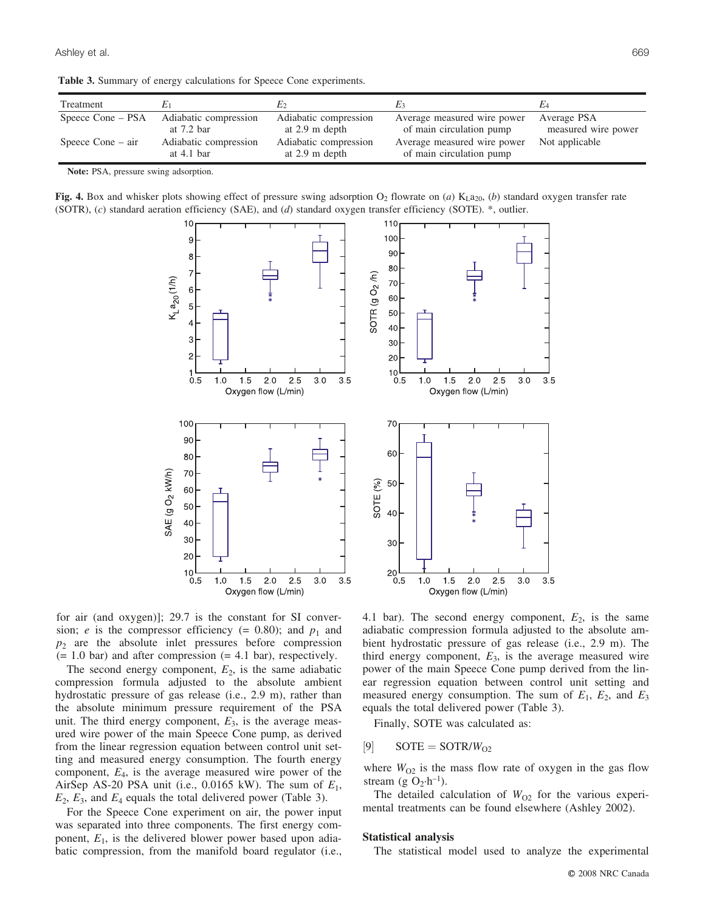**Table 3.** Summary of energy calculations for Speece Cone experiments.

| Treatment         |                                       | Ŀ٥                                                |                                                         |                                    |
|-------------------|---------------------------------------|---------------------------------------------------|---------------------------------------------------------|------------------------------------|
| Speece Cone – PSA | Adiabatic compression<br>at $7.2$ bar | Adiabatic compression<br>at $2.9 \text{ m}$ depth | Average measured wire power<br>of main circulation pump | Average PSA<br>measured wire power |
| Speece Cone – air | Adiabatic compression<br>at $4.1$ bar | Adiabatic compression<br>at $2.9 \text{ m}$ depth | Average measured wire power<br>of main circulation pump | Not applicable                     |

**Note:** PSA, pressure swing adsorption.

**Fig. 4.** Box and whisker plots showing effect of pressure swing adsorption O<sub>2</sub> flowrate on (*a*) K<sub>L</sub>a<sub>20</sub>, (*b*) standard oxygen transfer rate (SOTR), (*c*) standard aeration efficiency (SAE), and (*d*) standard oxygen transfer efficiency (SOTE). \*, outlier.



for air (and oxygen)]; 29.7 is the constant for SI conversion; *e* is the compressor efficiency (= 0.80); and  $p_1$  and  $p_2$  are the absolute inlet pressures before compression  $(= 1.0 \text{ bar})$  and after compression  $(= 4.1 \text{ bar})$ , respectively.

The second energy component,  $E_2$ , is the same adiabatic compression formula adjusted to the absolute ambient hydrostatic pressure of gas release (i.e., 2.9 m), rather than the absolute minimum pressure requirement of the PSA unit. The third energy component,  $E_3$ , is the average measured wire power of the main Speece Cone pump, as derived from the linear regression equation between control unit setting and measured energy consumption. The fourth energy component, *E*4, is the average measured wire power of the AirSep AS-20 PSA unit (i.e., 0.0165 kW). The sum of *E*1,  $E_2$ ,  $E_3$ , and  $E_4$  equals the total delivered power (Table 3).

For the Speece Cone experiment on air, the power input was separated into three components. The first energy component, *E*1, is the delivered blower power based upon adiabatic compression, from the manifold board regulator (i.e.,

4.1 bar). The second energy component,  $E_2$ , is the same adiabatic compression formula adjusted to the absolute ambient hydrostatic pressure of gas release (i.e., 2.9 m). The third energy component,  $E_3$ , is the average measured wire power of the main Speece Cone pump derived from the linear regression equation between control unit setting and measured energy consumption. The sum of  $E_1$ ,  $E_2$ , and  $E_3$ equals the total delivered power (Table 3).

 $3.5$ 

3.5

Finally, SOTE was calculated as:

 $[9]$  SOTE = SOTR/W<sub>O2</sub>

where  $W_{O2}$  is the mass flow rate of oxygen in the gas flow stream (g  $O_2 \cdot h^{-1}$ ).

The detailed calculation of  $W_{O2}$  for the various experimental treatments can be found elsewhere (Ashley 2002).

#### **Statistical analysis**

The statistical model used to analyze the experimental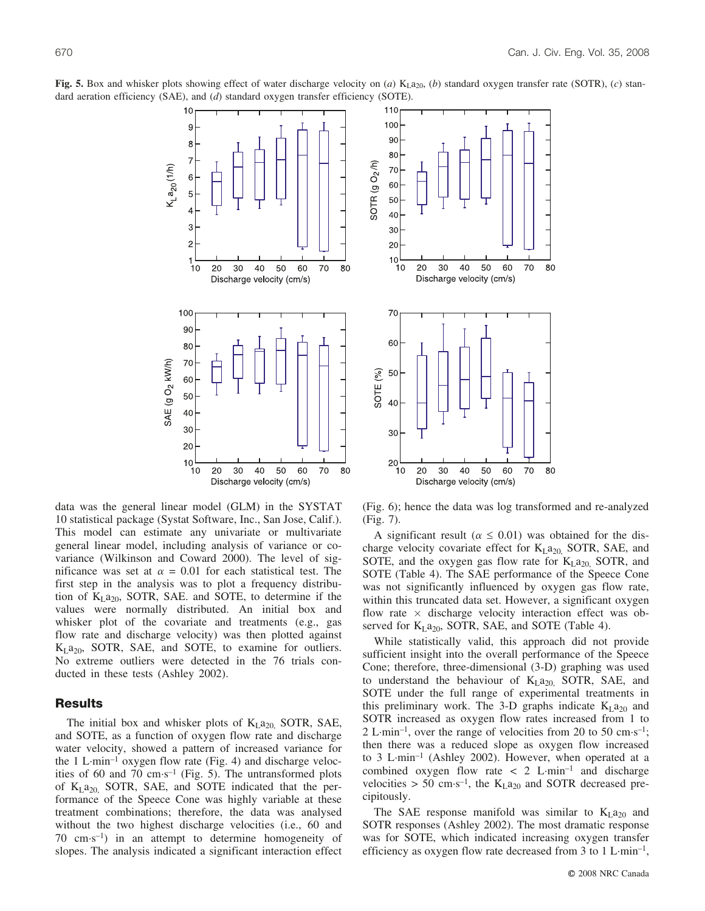

**Fig. 5.** Box and whisker plots showing effect of water discharge velocity on (*a*) KLa20, (*b*) standard oxygen transfer rate (SOTR), (*c*) standard aeration efficiency (SAE), and (*d*) standard oxygen transfer efficiency (SOTE).

110 100

90



data was the general linear model (GLM) in the SYSTAT 10 statistical package (Systat Software, Inc., San Jose, Calif.). This model can estimate any univariate or multivariate general linear model, including analysis of variance or covariance (Wilkinson and Coward 2000). The level of significance was set at  $\alpha = 0.01$  for each statistical test. The first step in the analysis was to plot a frequency distribution of  $K_L a_{20}$ , SOTR, SAE. and SOTE, to determine if the values were normally distributed. An initial box and whisker plot of the covariate and treatments (e.g., gas flow rate and discharge velocity) was then plotted against KLa20, SOTR, SAE, and SOTE, to examine for outliers. No extreme outliers were detected in the 76 trials conducted in these tests (Ashley 2002).

## **Results**

The initial box and whisker plots of  $K_L a_{20}$  SOTR, SAE, and SOTE, as a function of oxygen flow rate and discharge water velocity, showed a pattern of increased variance for the 1 L $\cdot$ min<sup>-1</sup> oxygen flow rate (Fig. 4) and discharge velocities of 60 and 70  $\text{cm}\cdot\text{s}^{-1}$  (Fig. 5). The untransformed plots of  $K<sub>L</sub>a<sub>20</sub>$  SOTR, SAE, and SOTE indicated that the performance of the Speece Cone was highly variable at these treatment combinations; therefore, the data was analysed without the two highest discharge velocities (i.e., 60 and  $70 \, \text{cm} \cdot \text{s}^{-1}$ ) in an attempt to determine homogeneity of slopes. The analysis indicated a significant interaction effect

(Fig. 6); hence the data was log transformed and re-analyzed (Fig. 7).

A significant result ( $\alpha \leq 0.01$ ) was obtained for the discharge velocity covariate effect for  $K<sub>L</sub>a<sub>20</sub>$ , SOTR, SAE, and SOTE, and the oxygen gas flow rate for  $K_{L}a_{20}$ , SOTR, and SOTE (Table 4). The SAE performance of the Speece Cone was not significantly influenced by oxygen gas flow rate, within this truncated data set. However, a significant oxygen flow rate  $\times$  discharge velocity interaction effect was observed for K<sub>L</sub>a<sub>20</sub>, SOTR, SAE, and SOTE (Table 4).

While statistically valid, this approach did not provide sufficient insight into the overall performance of the Speece Cone; therefore, three-dimensional (3-D) graphing was used to understand the behaviour of  $K_{L}a_{20}$ , SOTR, SAE, and SOTE under the full range of experimental treatments in this preliminary work. The 3-D graphs indicate  $K_{L}a_{20}$  and SOTR increased as oxygen flow rates increased from 1 to 2 L $\cdot$ min<sup>-1</sup>, over the range of velocities from 20 to 50 cm $\cdot$ s<sup>-1</sup>; then there was a reduced slope as oxygen flow increased to 3 L·min<sup>-1</sup> (Ashley 2002). However, when operated at a combined oxygen flow rate  $\langle 2 \text{ L-min}^{-1} \rangle$  and discharge velocities > 50 cm·s<sup>-1</sup>, the K<sub>L</sub>a<sub>20</sub> and SOTR decreased precipitously.

The SAE response manifold was similar to  $K_L a_{20}$  and SOTR responses (Ashley 2002). The most dramatic response was for SOTE, which indicated increasing oxygen transfer efficiency as oxygen flow rate decreased from 3 to  $1 \text{ L-min}^{-1}$ ,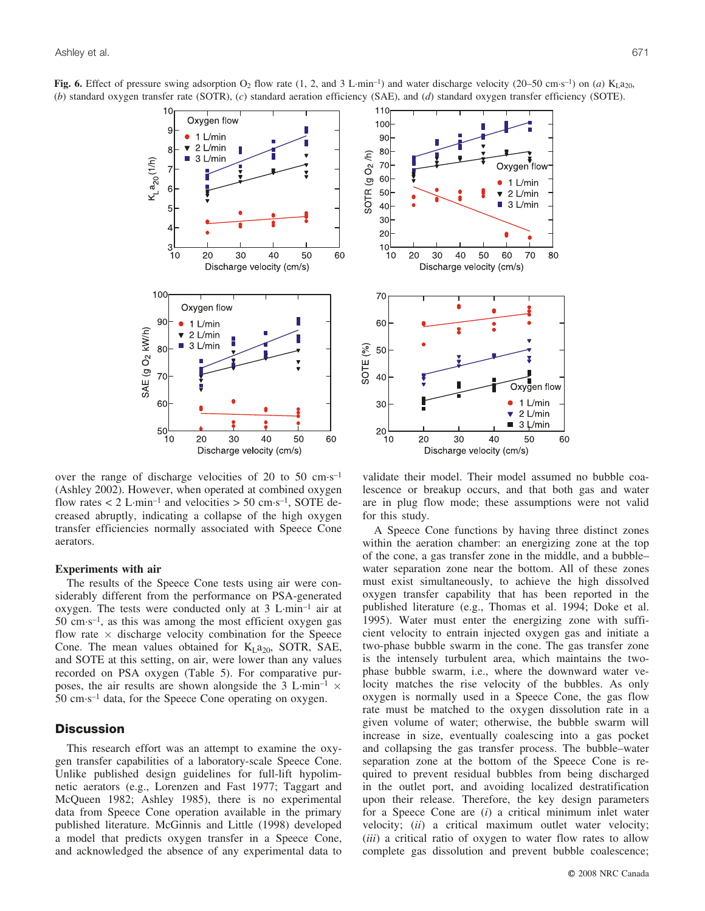

**Fig. 6.** Effect of pressure swing adsorption  $O_2$  flow rate (1, 2, and 3 L·min<sup>-1</sup>) and water discharge velocity (20–50 cm·s<sup>-1</sup>) on (*a*) K<sub>L</sub>a<sub>20</sub>, (*b*) standard oxygen transfer rate (SOTR), (*c*) standard aeration efficiency (SAE), and (*d*) standard oxygen transfer efficiency (SOTE).

over the range of discharge velocities of 20 to 50  $\text{cm}\cdot\text{s}^{-1}$ (Ashley 2002). However, when operated at combined oxygen flow rates  $< 2$  L·min<sup>-1</sup> and velocities  $> 50$  cm·s<sup>-1</sup>, SOTE decreased abruptly, indicating a collapse of the high oxygen transfer efficiencies normally associated with Speece Cone aerators.

#### **Experiments with air**

The results of the Speece Cone tests using air were considerably different from the performance on PSA-generated oxygen. The tests were conducted only at  $3 \text{ L-min}^{-1}$  air at  $50 \text{ cm} \cdot \text{s}^{-1}$ , as this was among the most efficient oxygen gas flow rate  $\times$  discharge velocity combination for the Speece Cone. The mean values obtained for  $K_L a_{20}$ , SOTR, SAE, and SOTE at this setting, on air, were lower than any values recorded on PSA oxygen (Table 5). For comparative purposes, the air results are shown alongside the 3 L·min<sup>-1</sup>  $\times$  $50 \text{ cm} \cdot \text{s}^{-1}$  data, for the Speece Cone operating on oxygen.

## **Discussion**

This research effort was an attempt to examine the oxygen transfer capabilities of a laboratory-scale Speece Cone. Unlike published design guidelines for full-lift hypolimnetic aerators (e.g., Lorenzen and Fast 1977; Taggart and McQueen 1982; Ashley 1985), there is no experimental data from Speece Cone operation available in the primary published literature. McGinnis and Little (1998) developed a model that predicts oxygen transfer in a Speece Cone, and acknowledged the absence of any experimental data to



validate their model. Their model assumed no bubble coalescence or breakup occurs, and that both gas and water are in plug flow mode; these assumptions were not valid for this study.

A Speece Cone functions by having three distinct zones within the aeration chamber: an energizing zone at the top of the cone, a gas transfer zone in the middle, and a bubble– water separation zone near the bottom. All of these zones must exist simultaneously, to achieve the high dissolved oxygen transfer capability that has been reported in the published literature (e.g., Thomas et al. 1994; Doke et al. 1995). Water must enter the energizing zone with sufficient velocity to entrain injected oxygen gas and initiate a two-phase bubble swarm in the cone. The gas transfer zone is the intensely turbulent area, which maintains the twophase bubble swarm, i.e., where the downward water velocity matches the rise velocity of the bubbles. As only oxygen is normally used in a Speece Cone, the gas flow rate must be matched to the oxygen dissolution rate in a given volume of water; otherwise, the bubble swarm will increase in size, eventually coalescing into a gas pocket and collapsing the gas transfer process. The bubble–water separation zone at the bottom of the Speece Cone is required to prevent residual bubbles from being discharged in the outlet port, and avoiding localized destratification upon their release. Therefore, the key design parameters for a Speece Cone are (*i*) a critical minimum inlet water velocity; (*ii*) a critical maximum outlet water velocity; (*iii*) a critical ratio of oxygen to water flow rates to allow complete gas dissolution and prevent bubble coalescence;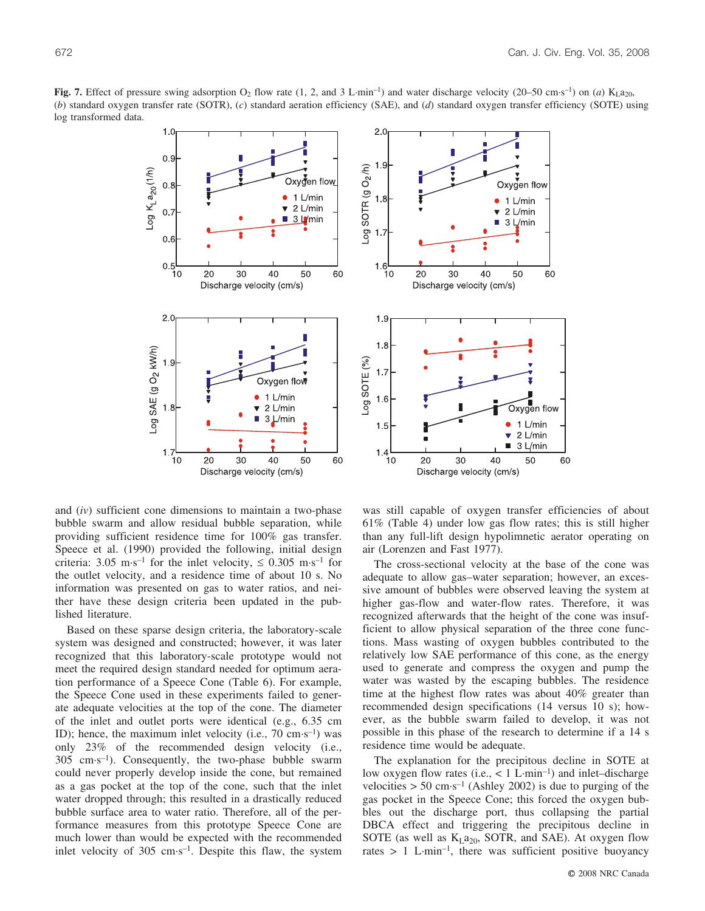$1<sub>1</sub>$  $0.9$ Log  $K_{L}$ a<sub>20</sub> (1/h) Oxygen flow  $0.8$ 1 L/min 2 L/min  $\overline{\mathbf{v}}$  $\blacksquare$ 3 L/min  $0.6$  $0.5 - 0.5 = 0.0$ 20 30 40 50 60 Discharge velocity (cm/s)  $2.0$ -og SAE (g O<sub>2</sub> kW/h) 1.9 Oxygen flow  $\bullet$ 1 L/min  $1.8$  $\overline{\textbf{v}}$ 2 L/min 3 L/min



**Fig. 7.** Effect of pressure swing adsorption  $O_2$  flow rate (1, 2, and 3 L·min<sup>-1</sup>) and water discharge velocity (20–50 cm·s<sup>-1</sup>) on (*a*) K<sub>L</sub>a<sub>20</sub>, (*b*) standard oxygen transfer rate (SOTR), (*c*) standard aeration efficiency (SAE), and (*d*) standard oxygen transfer efficiency (SOTE) using log transformed data.

and (*iv*) sufficient cone dimensions to maintain a two-phase bubble swarm and allow residual bubble separation, while providing sufficient residence time for 100% gas transfer. Speece et al. (1990) provided the following, initial design criteria: 3.05 m·s<sup>-1</sup> for the inlet velocity,  $\leq$  0.305 m·s<sup>-1</sup> for the outlet velocity, and a residence time of about 10 s. No information was presented on gas to water ratios, and neither have these design criteria been updated in the published literature.

20

30

Discharge velocity (cm/s)

40

50

60

 $1.7$  $10$ 

Based on these sparse design criteria, the laboratory-scale system was designed and constructed; however, it was later recognized that this laboratory-scale prototype would not meet the required design standard needed for optimum aeration performance of a Speece Cone (Table 6). For example, the Speece Cone used in these experiments failed to generate adequate velocities at the top of the cone. The diameter of the inlet and outlet ports were identical (e.g., 6.35 cm ID); hence, the maximum inlet velocity (i.e.,  $70 \text{ cm} \cdot \text{s}^{-1}$ ) was only 23% of the recommended design velocity (i.e.,  $305$  cm·s<sup>-1</sup>). Consequently, the two-phase bubble swarm could never properly develop inside the cone, but remained as a gas pocket at the top of the cone, such that the inlet water dropped through; this resulted in a drastically reduced bubble surface area to water ratio. Therefore, all of the performance measures from this prototype Speece Cone are much lower than would be expected with the recommended inlet velocity of  $305 \, \text{cm·s}^{-1}$ . Despite this flaw, the system was still capable of oxygen transfer efficiencies of about 61% (Table 4) under low gas flow rates; this is still higher than any full-lift design hypolimnetic aerator operating on air (Lorenzen and Fast 1977).

The cross-sectional velocity at the base of the cone was adequate to allow gas–water separation; however, an excessive amount of bubbles were observed leaving the system at higher gas-flow and water-flow rates. Therefore, it was recognized afterwards that the height of the cone was insufficient to allow physical separation of the three cone functions. Mass wasting of oxygen bubbles contributed to the relatively low SAE performance of this cone, as the energy used to generate and compress the oxygen and pump the water was wasted by the escaping bubbles. The residence time at the highest flow rates was about 40% greater than recommended design specifications (14 versus 10 s); however, as the bubble swarm failed to develop, it was not possible in this phase of the research to determine if a 14 s residence time would be adequate.

The explanation for the precipitous decline in SOTE at low oxygen flow rates (i.e.,  $< 1$  L·min<sup>-1</sup>) and inlet-discharge velocities  $> 50$  cm·s<sup>-1</sup> (Ashley 2002) is due to purging of the gas pocket in the Speece Cone; this forced the oxygen bubbles out the discharge port, thus collapsing the partial DBCA effect and triggering the precipitous decline in SOTE (as well as  $K<sub>L</sub>a<sub>20</sub>$ , SOTR, and SAE). At oxygen flow rates  $> 1$  L·min<sup>-1</sup>, there was sufficient positive buoyancy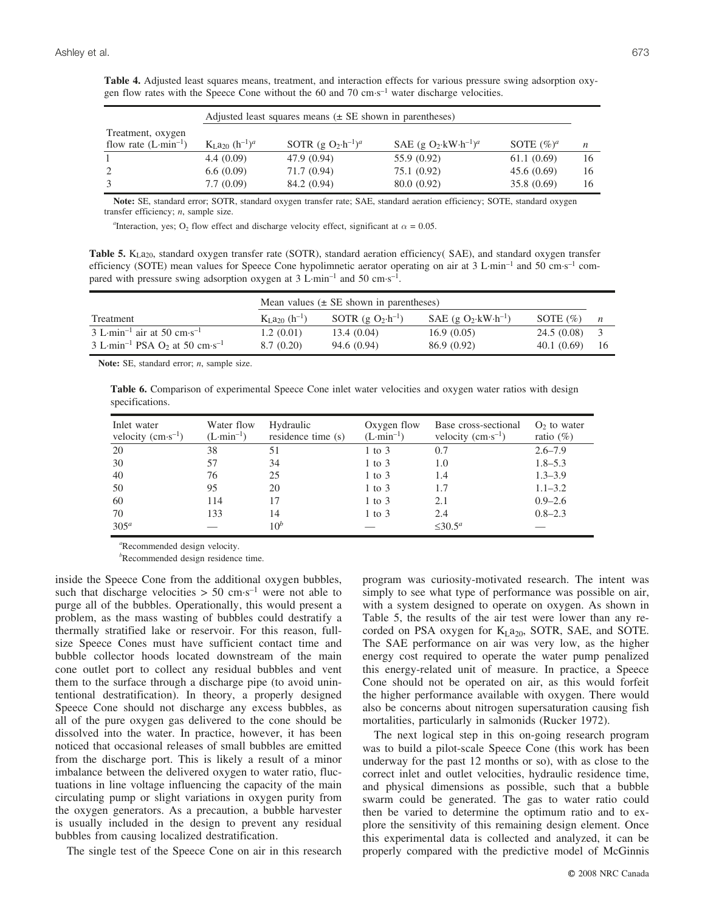|                                | Adjusted least squares means $(\pm$ SE shown in parentheses) |                               |                                                          |               |    |
|--------------------------------|--------------------------------------------------------------|-------------------------------|----------------------------------------------------------|---------------|----|
| Treatment, oxygen              |                                                              |                               |                                                          |               |    |
| flow rate $(L \cdot min^{-1})$ | $K_{1,320}$ $(h^{-1})^a$                                     | SOTR $(g Q_2 \cdot h^{-1})^a$ | SAE (g O <sub>2</sub> ·kW·h <sup>-1</sup> ) <sup>a</sup> | SOTE $(\%)^a$ | n  |
|                                | 4.4(0.09)                                                    | 47.9 (0.94)                   | 55.9 (0.92)                                              | 61.1(0.69)    | 16 |
|                                | 6.6(0.09)                                                    | 71.7(0.94)                    | 75.1 (0.92)                                              | 45.6(0.69)    | 16 |
|                                | 7.7(0.09)                                                    | 84.2 (0.94)                   | 80.0 (0.92)                                              | 35.8(0.69)    | 16 |

**Table 4.** Adjusted least squares means, treatment, and interaction effects for various pressure swing adsorption oxygen flow rates with the Speece Cone without the 60 and 70 cm $s^{-1}$  water discharge velocities.

**Note:** SE, standard error; SOTR, standard oxygen transfer rate; SAE, standard aeration efficiency; SOTE, standard oxygen transfer efficiency; *n*, sample size.

"Interaction, yes; O<sub>2</sub> flow effect and discharge velocity effect, significant at  $\alpha = 0.05$ .

**Table 5.** KLa20, standard oxygen transfer rate (SOTR), standard aeration efficiency( SAE), and standard oxygen transfer efficiency (SOTE) mean values for Speece Cone hypolimnetic aerator operating on air at  $3 \text{ L-min}^{-1}$  and  $50 \text{ cm} \cdot \text{s}^{-1}$  compared with pressure swing adsorption oxygen at  $3 \text{ L-min}^{-1}$  and  $50 \text{ cm} \cdot \text{s}^{-1}$ .

|                                                                     | Mean values $(\pm SE)$ shown in parentheses) |                               |                                       |             |    |
|---------------------------------------------------------------------|----------------------------------------------|-------------------------------|---------------------------------------|-------------|----|
| Treatment                                                           | $K_{1,320}$ (h <sup>-1</sup> )               | SOTR $(g \ O_2 \cdot h^{-1})$ | SAE $(g \ O_2 \cdot kW \cdot h^{-1})$ | SOTE $(\%)$ | n  |
| $3$ L·min <sup>-1</sup> air at 50 cm·s <sup>-1</sup>                | 1.2(0.01)                                    | 13.4(0.04)                    | 16.9(0.05)                            | 24.5 (0.08) |    |
| $3$ L·min <sup>-1</sup> PSA O <sub>2</sub> at 50 cm·s <sup>-1</sup> | 8.7(0.20)                                    | 94.6 (0.94)                   | 86.9 (0.92)                           | 40.1(0.69)  | 16 |

**Note:** SE, standard error; *n*, sample size.

**Table 6.** Comparison of experimental Speece Cone inlet water velocities and oxygen water ratios with design specifications.

| Inlet water<br>velocity $(cm·s^{-1})$ | Water flow<br>$(L \cdot \text{min}^{-1})$ | Hydraulic<br>residence time (s) | Oxygen flow<br>$(L \cdot \text{min}^{-1})$ | Base cross-sectional<br>velocity $(cm·s^{-1})$ | $O2$ to water<br>ratio $(\%)$ |
|---------------------------------------|-------------------------------------------|---------------------------------|--------------------------------------------|------------------------------------------------|-------------------------------|
| 20                                    | 38                                        | 51                              | $1$ to $3$                                 | 0.7                                            | $2.6 - 7.9$                   |
| 30                                    | 57                                        | 34                              | $1$ to $3$                                 | 1.0                                            | $1.8 - 5.3$                   |
| 40                                    | 76                                        | 25                              | $1$ to $3$                                 | 1.4                                            | $1.3 - 3.9$                   |
| 50                                    | 95                                        | 20                              | $1$ to $3$                                 |                                                | $1.1 - 3.2$                   |
| 60                                    | 114                                       | 17                              | $1$ to $3$                                 | 2.1                                            | $0.9 - 2.6$                   |
| 70                                    | 133                                       | 14                              | $1$ to $3$                                 | 2.4                                            | $0.8 - 2.3$                   |
| $305^a$                               |                                           | 10 <sup>b</sup>                 |                                            | $\leq 30.5^a$                                  |                               |

a Recommended design velocity.

<sup>b</sup>Recommended design residence time.

inside the Speece Cone from the additional oxygen bubbles, such that discharge velocities  $> 50$  cm·s<sup>-1</sup> were not able to purge all of the bubbles. Operationally, this would present a problem, as the mass wasting of bubbles could destratify a thermally stratified lake or reservoir. For this reason, fullsize Speece Cones must have sufficient contact time and bubble collector hoods located downstream of the main cone outlet port to collect any residual bubbles and vent them to the surface through a discharge pipe (to avoid unintentional destratification). In theory, a properly designed Speece Cone should not discharge any excess bubbles, as all of the pure oxygen gas delivered to the cone should be dissolved into the water. In practice, however, it has been noticed that occasional releases of small bubbles are emitted from the discharge port. This is likely a result of a minor imbalance between the delivered oxygen to water ratio, fluctuations in line voltage influencing the capacity of the main circulating pump or slight variations in oxygen purity from the oxygen generators. As a precaution, a bubble harvester is usually included in the design to prevent any residual bubbles from causing localized destratification.

The single test of the Speece Cone on air in this research

program was curiosity-motivated research. The intent was simply to see what type of performance was possible on air, with a system designed to operate on oxygen. As shown in Table 5, the results of the air test were lower than any recorded on PSA oxygen for  $K<sub>L</sub>a<sub>20</sub>$ , SOTR, SAE, and SOTE. The SAE performance on air was very low, as the higher energy cost required to operate the water pump penalized this energy-related unit of measure. In practice, a Speece Cone should not be operated on air, as this would forfeit the higher performance available with oxygen. There would also be concerns about nitrogen supersaturation causing fish mortalities, particularly in salmonids (Rucker 1972).

The next logical step in this on-going research program was to build a pilot-scale Speece Cone (this work has been underway for the past 12 months or so), with as close to the correct inlet and outlet velocities, hydraulic residence time, and physical dimensions as possible, such that a bubble swarm could be generated. The gas to water ratio could then be varied to determine the optimum ratio and to explore the sensitivity of this remaining design element. Once this experimental data is collected and analyzed, it can be properly compared with the predictive model of McGinnis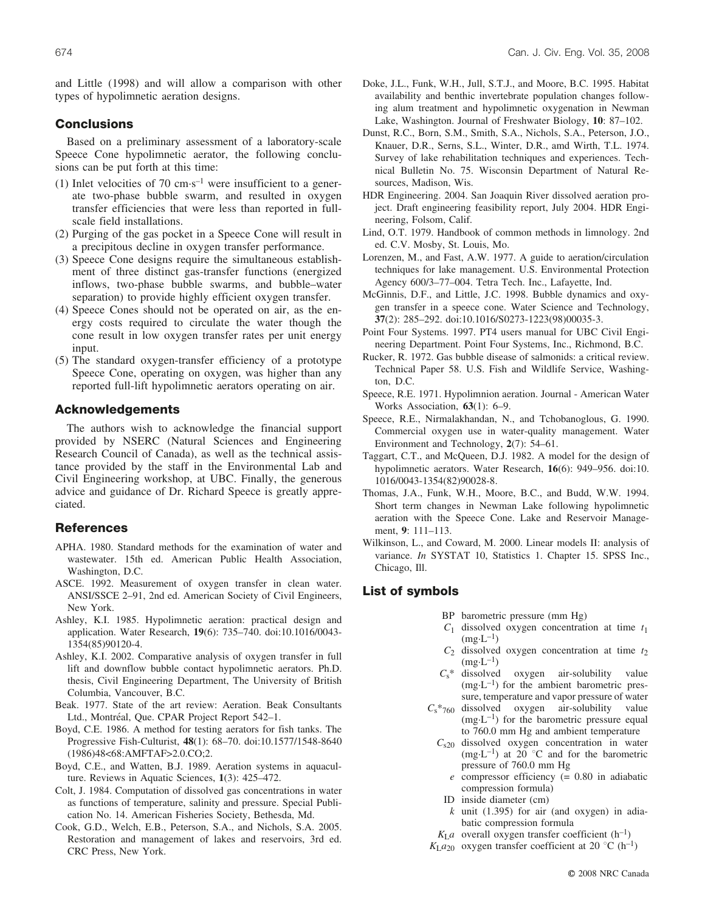and Little (1998) and will allow a comparison with other types of hypolimnetic aeration designs.

## **Conclusions**

Based on a preliminary assessment of a laboratory-scale Speece Cone hypolimnetic aerator, the following conclusions can be put forth at this time:

- (1) Inlet velocities of 70 cm $\cdot$ s<sup>-1</sup> were insufficient to a generate two-phase bubble swarm, and resulted in oxygen transfer efficiencies that were less than reported in fullscale field installations.
- (2) Purging of the gas pocket in a Speece Cone will result in a precipitous decline in oxygen transfer performance.
- (3) Speece Cone designs require the simultaneous establishment of three distinct gas-transfer functions (energized inflows, two-phase bubble swarms, and bubble–water separation) to provide highly efficient oxygen transfer.
- (4) Speece Cones should not be operated on air, as the energy costs required to circulate the water though the cone result in low oxygen transfer rates per unit energy input.
- (5) The standard oxygen-transfer efficiency of a prototype Speece Cone, operating on oxygen, was higher than any reported full-lift hypolimnetic aerators operating on air.

## **Acknowledgements**

The authors wish to acknowledge the financial support provided by NSERC (Natural Sciences and Engineering Research Council of Canada), as well as the technical assistance provided by the staff in the Environmental Lab and Civil Engineering workshop, at UBC. Finally, the generous advice and guidance of Dr. Richard Speece is greatly appreciated.

## **References**

- APHA. 1980. Standard methods for the examination of water and wastewater. 15th ed. American Public Health Association, Washington, D.C.
- ASCE. 1992. Measurement of oxygen transfer in clean water. ANSI/SSCE 2–91, 2nd ed. American Society of Civil Engineers, New York.
- Ashley, K.I. 1985. Hypolimnetic aeration: practical design and application. Water Research, **19**(6): 735–740. doi:10.1016/0043- 1354(85)90120-4.
- Ashley, K.I. 2002. Comparative analysis of oxygen transfer in full lift and downflow bubble contact hypolimnetic aerators. Ph.D. thesis, Civil Engineering Department, The University of British Columbia, Vancouver, B.C.
- Beak. 1977. State of the art review: Aeration. Beak Consultants Ltd., Montréal, Que. CPAR Project Report 542-1.
- Boyd, C.E. 1986. A method for testing aerators for fish tanks. The Progressive Fish-Culturist, **48**(1): 68–70. doi:10.1577/1548-8640 (1986)48<68:AMFTAF>2.0.CO;2.
- Boyd, C.E., and Watten, B.J. 1989. Aeration systems in aquaculture. Reviews in Aquatic Sciences, **1**(3): 425–472.
- Colt, J. 1984. Computation of dissolved gas concentrations in water as functions of temperature, salinity and pressure. Special Publication No. 14. American Fisheries Society, Bethesda, Md.
- Cook, G.D., Welch, E.B., Peterson, S.A., and Nichols, S.A. 2005. Restoration and management of lakes and reservoirs, 3rd ed. CRC Press, New York.
- Doke, J.L., Funk, W.H., Jull, S.T.J., and Moore, B.C. 1995. Habitat availability and benthic invertebrate population changes following alum treatment and hypolimnetic oxygenation in Newman Lake, Washington. Journal of Freshwater Biology, **10**: 87–102.
- Dunst, R.C., Born, S.M., Smith, S.A., Nichols, S.A., Peterson, J.O., Knauer, D.R., Serns, S.L., Winter, D.R., amd Wirth, T.L. 1974. Survey of lake rehabilitation techniques and experiences. Technical Bulletin No. 75. Wisconsin Department of Natural Resources, Madison, Wis.
- HDR Engineering. 2004. San Joaquin River dissolved aeration project. Draft engineering feasibility report, July 2004. HDR Engineering, Folsom, Calif.
- Lind, O.T. 1979. Handbook of common methods in limnology. 2nd ed. C.V. Mosby, St. Louis, Mo.
- Lorenzen, M., and Fast, A.W. 1977. A guide to aeration/circulation techniques for lake management. U.S. Environmental Protection Agency 600/3–77–004. Tetra Tech. Inc., Lafayette, Ind.
- McGinnis, D.F., and Little, J.C. 1998. Bubble dynamics and oxygen transfer in a speece cone. Water Science and Technology, **37**(2): 285–292. doi:10.1016/S0273-1223(98)00035-3.
- Point Four Systems. 1997. PT4 users manual for UBC Civil Engineering Department. Point Four Systems, Inc., Richmond, B.C.
- Rucker, R. 1972. Gas bubble disease of salmonids: a critical review. Technical Paper 58. U.S. Fish and Wildlife Service, Washington, D.C.
- Speece, R.E. 1971. Hypolimnion aeration. Journal American Water Works Association, **63**(1): 6–9.
- Speece, R.E., Nirmalakhandan, N., and Tchobanoglous, G. 1990. Commercial oxygen use in water-quality management. Water Environment and Technology, **2**(7): 54–61.
- Taggart, C.T., and McQueen, D.J. 1982. A model for the design of hypolimnetic aerators. Water Research, **16**(6): 949–956. doi:10. 1016/0043-1354(82)90028-8.
- Thomas, J.A., Funk, W.H., Moore, B.C., and Budd, W.W. 1994. Short term changes in Newman Lake following hypolimnetic aeration with the Speece Cone. Lake and Reservoir Management, **9**: 111–113.
- Wilkinson, L., and Coward, M. 2000. Linear models II: analysis of variance. *In* SYSTAT 10, Statistics 1. Chapter 15. SPSS Inc., Chicago, Ill.

## **List of symbols**

- BP barometric pressure (mm Hg)
- $C_1$  dissolved oxygen concentration at time  $t_1$  $(mg \cdot L^{-1})$
- $C_2$  dissolved oxygen concentration at time  $t_2$  $(mg \cdot L^{-1})$
- *C*s\* dissolved oxygen air-solubility value  $(mg \cdot L^{-1})$  for the ambient barometric pressure, temperature and vapor pressure of water
- $C_5^*$ <sup>760</sup> dissolved oxygen air-solubility value  $(mg \cdot L^{-1})$  for the barometric pressure equal to 760.0 mm Hg and ambient temperature
	- *C*s20 dissolved oxygen concentration in water (mg·L<sup>-1</sup>) at 20 °C and for the barometric pressure of 760.0 mm Hg
		- *e* compressor efficiency (= 0.80 in adiabatic compression formula)
	- ID inside diameter (cm)
	- *k* unit (1.395) for air (and oxygen) in adiabatic compression formula
- $K_{\text{L}}a$  overall oxygen transfer coefficient (h<sup>-1</sup>)
- $K_{L}a_{20}$  oxygen transfer coefficient at 20 °C (h<sup>-1</sup>)